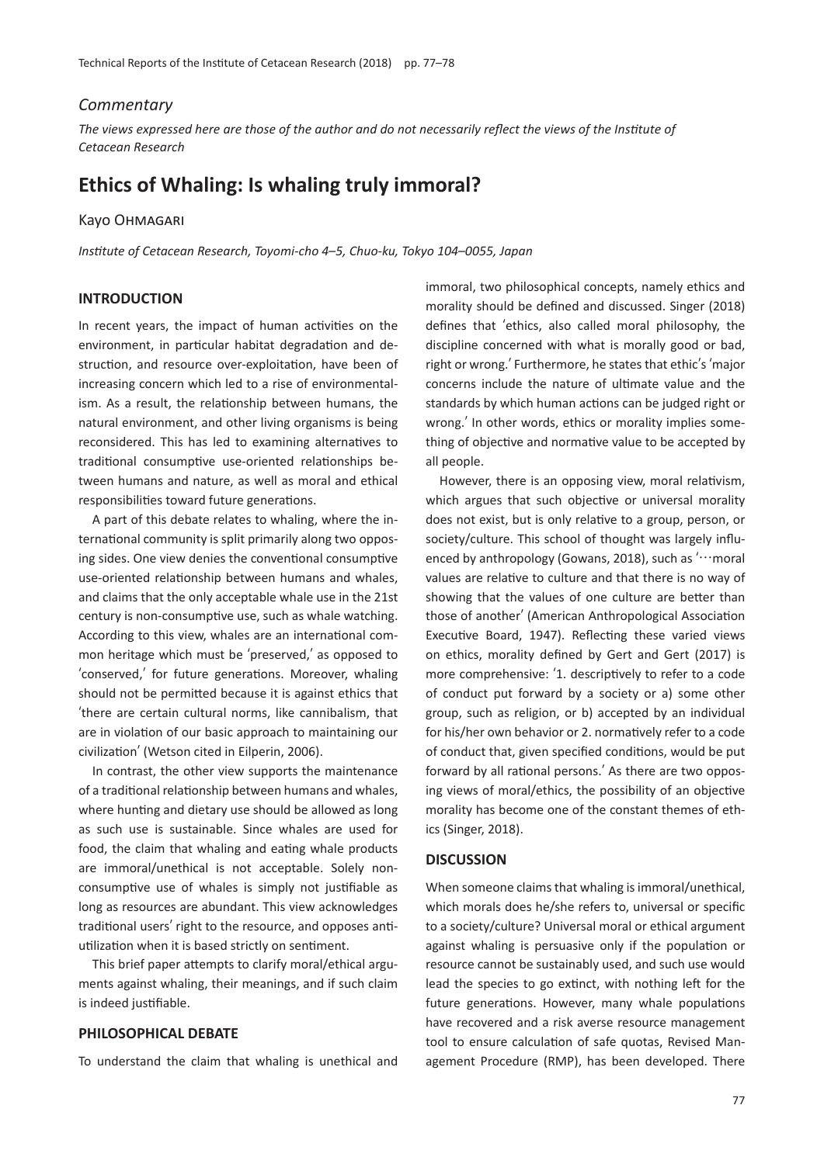## *Commentary*

*The views expressed here are those of the author and do not necessarily reflect the views of the Institute of Cetacean Research*

# **Ethics of Whaling: Is whaling truly immoral?**

#### Kayo Ohmagari

*Institute of Cetacean Research, Toyomi-cho 4*–*5, Chuo-ku, Tokyo 104*–*0055, Japan*

# **INTRODUCTION**

In recent years, the impact of human activities on the environment, in particular habitat degradation and destruction, and resource over-exploitation, have been of increasing concern which led to a rise of environmentalism. As a result, the relationship between humans, the natural environment, and other living organisms is being reconsidered. This has led to examining alternatives to traditional consumptive use-oriented relationships between humans and nature, as well as moral and ethical responsibilities toward future generations.

A part of this debate relates to whaling, where the international community is split primarily along two opposing sides. One view denies the conventional consumptive use-oriented relationship between humans and whales, and claims that the only acceptable whale use in the 21st century is non-consumptive use, such as whale watching. According to this view, whales are an international common heritage which must be ʻpreserved,' as opposed to ʻconserved,' for future generations. Moreover, whaling should not be permitted because it is against ethics that ʻthere are certain cultural norms, like cannibalism, that are in violation of our basic approach to maintaining our civilization' (Wetson cited in Eilperin, 2006).

In contrast, the other view supports the maintenance of a traditional relationship between humans and whales, where hunting and dietary use should be allowed as long as such use is sustainable. Since whales are used for food, the claim that whaling and eating whale products are immoral/unethical is not acceptable. Solely nonconsumptive use of whales is simply not justifiable as long as resources are abundant. This view acknowledges traditional users' right to the resource, and opposes antiutilization when it is based strictly on sentiment.

This brief paper attempts to clarify moral/ethical arguments against whaling, their meanings, and if such claim is indeed justifiable.

### **PHILOSOPHICAL DEBATE**

To understand the claim that whaling is unethical and

immoral, two philosophical concepts, namely ethics and morality should be defined and discussed. Singer (2018) defines that ʻethics, also called moral philosophy, the discipline concerned with what is morally good or bad, right or wrong.' Furthermore, he states that ethic's ʻmajor concerns include the nature of ultimate value and the standards by which human actions can be judged right or wrong.' In other words, ethics or morality implies something of objective and normative value to be accepted by all people.

However, there is an opposing view, moral relativism, which argues that such objective or universal morality does not exist, but is only relative to a group, person, or society/culture. This school of thought was largely influenced by anthropology (Gowans, 2018), such as  $'$ …moral values are relative to culture and that there is no way of showing that the values of one culture are better than those of another' (American Anthropological Association Executive Board, 1947). Reflecting these varied views on ethics, morality defined by Gert and Gert (2017) is more comprehensive: ʻ1. descriptively to refer to a code of conduct put forward by a society or a) some other group, such as religion, or b) accepted by an individual for his/her own behavior or 2. normatively refer to a code of conduct that, given specified conditions, would be put forward by all rational persons.' As there are two opposing views of moral/ethics, the possibility of an objective morality has become one of the constant themes of ethics (Singer, 2018).

#### **DISCUSSION**

When someone claims that whaling is immoral/unethical, which morals does he/she refers to, universal or specific to a society/culture? Universal moral or ethical argument against whaling is persuasive only if the population or resource cannot be sustainably used, and such use would lead the species to go extinct, with nothing left for the future generations. However, many whale populations have recovered and a risk averse resource management tool to ensure calculation of safe quotas, Revised Management Procedure (RMP), has been developed. There